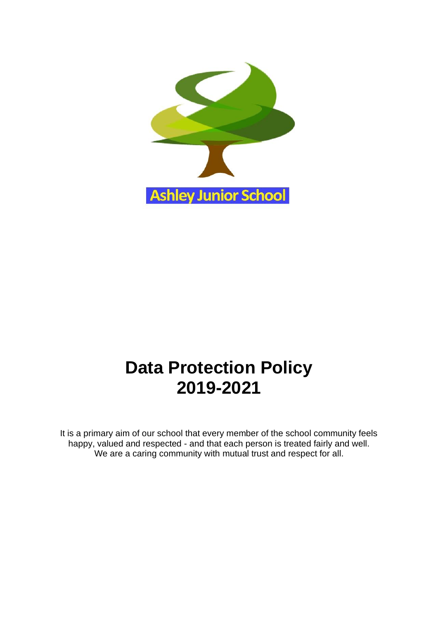

# **Data Protection Policy 2019-2021**

It is a primary aim of our school that every member of the school community feels happy, valued and respected - and that each person is treated fairly and well. We are a caring community with mutual trust and respect for all.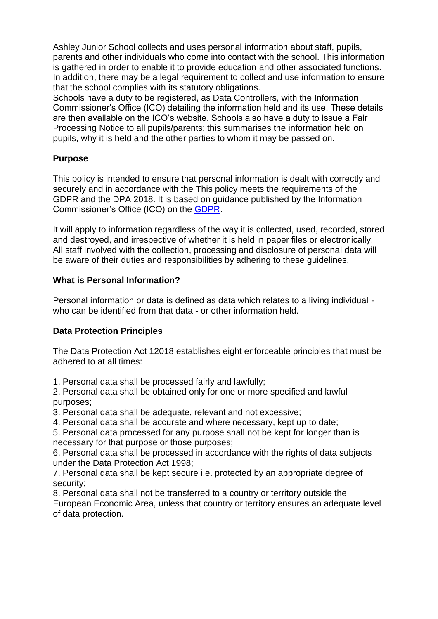Ashley Junior School collects and uses personal information about staff, pupils, parents and other individuals who come into contact with the school. This information is gathered in order to enable it to provide education and other associated functions. In addition, there may be a legal requirement to collect and use information to ensure that the school complies with its statutory obligations.

Schools have a duty to be registered, as Data Controllers, with the Information Commissioner's Office (ICO) detailing the information held and its use. These details are then available on the ICO's website. Schools also have a duty to issue a Fair Processing Notice to all pupils/parents; this summarises the information held on pupils, why it is held and the other parties to whom it may be passed on.

# **Purpose**

This policy is intended to ensure that personal information is dealt with correctly and securely and in accordance with the This policy meets the requirements of the GDPR and the DPA 2018. It is based on guidance published by the Information Commissioner's Office (ICO) on the [GDPR.](https://ico.org.uk/for-organisations/guide-to-the-general-data-protection-regulation-gdpr/)

It will apply to information regardless of the way it is collected, used, recorded, stored and destroyed, and irrespective of whether it is held in paper files or electronically. All staff involved with the collection, processing and disclosure of personal data will be aware of their duties and responsibilities by adhering to these guidelines.

### **What is Personal Information?**

Personal information or data is defined as data which relates to a living individual who can be identified from that data - or other information held.

# **Data Protection Principles**

The Data Protection Act 12018 establishes eight enforceable principles that must be adhered to at all times:

1. Personal data shall be processed fairly and lawfully;

2. Personal data shall be obtained only for one or more specified and lawful purposes;

3. Personal data shall be adequate, relevant and not excessive;

4. Personal data shall be accurate and where necessary, kept up to date;

5. Personal data processed for any purpose shall not be kept for longer than is necessary for that purpose or those purposes;

6. Personal data shall be processed in accordance with the rights of data subjects under the Data Protection Act 1998;

7. Personal data shall be kept secure i.e. protected by an appropriate degree of security;

8. Personal data shall not be transferred to a country or territory outside the European Economic Area, unless that country or territory ensures an adequate level of data protection.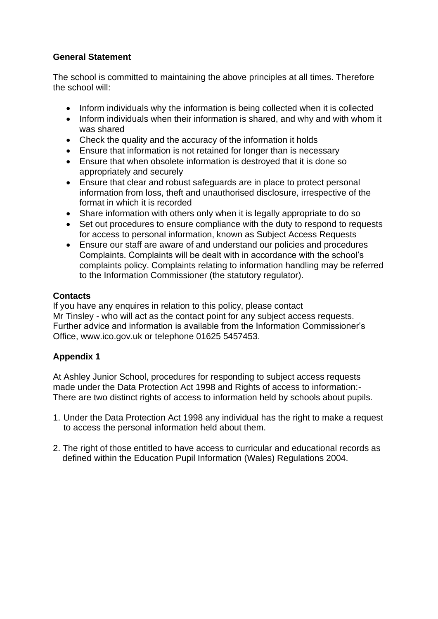# **General Statement**

The school is committed to maintaining the above principles at all times. Therefore the school will:

- Inform individuals why the information is being collected when it is collected
- Inform individuals when their information is shared, and why and with whom it was shared
- Check the quality and the accuracy of the information it holds
- Ensure that information is not retained for longer than is necessary
- Ensure that when obsolete information is destroyed that it is done so appropriately and securely
- Ensure that clear and robust safeguards are in place to protect personal information from loss, theft and unauthorised disclosure, irrespective of the format in which it is recorded
- Share information with others only when it is legally appropriate to do so
- Set out procedures to ensure compliance with the duty to respond to requests for access to personal information, known as Subject Access Requests
- Ensure our staff are aware of and understand our policies and procedures Complaints. Complaints will be dealt with in accordance with the school's complaints policy. Complaints relating to information handling may be referred to the Information Commissioner (the statutory regulator).

# **Contacts**

If you have any enquires in relation to this policy, please contact Mr Tinsley - who will act as the contact point for any subject access requests. Further advice and information is available from the Information Commissioner's Office, www.ico.gov.uk or telephone 01625 5457453.

# **Appendix 1**

At Ashley Junior School, procedures for responding to subject access requests made under the Data Protection Act 1998 and Rights of access to information:- There are two distinct rights of access to information held by schools about pupils.

- 1. Under the Data Protection Act 1998 any individual has the right to make a request to access the personal information held about them.
- 2. The right of those entitled to have access to curricular and educational records as defined within the Education Pupil Information (Wales) Regulations 2004.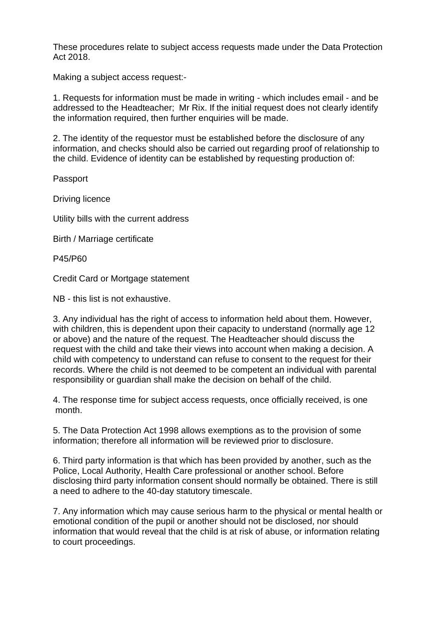These procedures relate to subject access requests made under the Data Protection Act 2018.

Making a subject access request:-

1. Requests for information must be made in writing - which includes email - and be addressed to the Headteacher; Mr Rix. If the initial request does not clearly identify the information required, then further enquiries will be made.

2. The identity of the requestor must be established before the disclosure of any information, and checks should also be carried out regarding proof of relationship to the child. Evidence of identity can be established by requesting production of:

Passport

Driving licence

Utility bills with the current address

Birth / Marriage certificate

P45/P60

Credit Card or Mortgage statement

NB - this list is not exhaustive.

3. Any individual has the right of access to information held about them. However, with children, this is dependent upon their capacity to understand (normally age 12 or above) and the nature of the request. The Headteacher should discuss the request with the child and take their views into account when making a decision. A child with competency to understand can refuse to consent to the request for their records. Where the child is not deemed to be competent an individual with parental responsibility or guardian shall make the decision on behalf of the child.

4. The response time for subject access requests, once officially received, is one month.

5. The Data Protection Act 1998 allows exemptions as to the provision of some information; therefore all information will be reviewed prior to disclosure.

6. Third party information is that which has been provided by another, such as the Police, Local Authority, Health Care professional or another school. Before disclosing third party information consent should normally be obtained. There is still a need to adhere to the 40-day statutory timescale.

7. Any information which may cause serious harm to the physical or mental health or emotional condition of the pupil or another should not be disclosed, nor should information that would reveal that the child is at risk of abuse, or information relating to court proceedings.